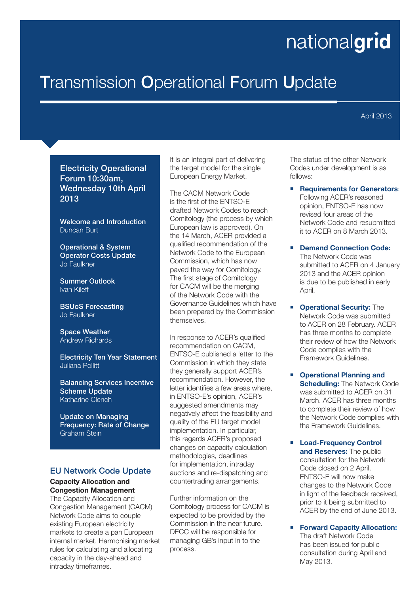# nationalgrid

## **Transmission Operational Forum Update**

April 2013

#### Electricity Operational Forum 10:30am, Wednesday 10th April 2013

Welcome and Introduction Duncan Burt

Operational & System Operator Costs Update Jo Faulkner

Summer Outlook Ivan Kileff

BSUoS Forecasting Jo Faulkner

Space Weather Andrew Richards

Electricity Ten Year Statement Juliana Pollitt

Balancing Services Incentive Scheme Update Katharine Clench

Update on Managing Frequency: Rate of Change Graham Stein

#### EU Network Code Update

#### **Capacity Allocation and Congestion Management**

The Capacity Allocation and Congestion Management (CACM) Network Code aims to couple existing European electricity markets to create a pan European internal market. Harmonising market rules for calculating and allocating capacity in the day-ahead and intraday timeframes.

It is an integral part of delivering the target model for the single European Energy Market.

The CACM Network Code is the first of the ENTSO-E drafted Network Codes to reach Comitology (the process by which European law is approved). On the 14 March, ACER provided a qualified recommendation of the Network Code to the European Commission, which has now paved the way for Comitology. The first stage of Comitology for CACM will be the merging of the Network Code with the Governance Guidelines which have been prepared by the Commission themselves.

In response to ACER's qualified recommendation on CACM, ENTSO-E published a letter to the Commission in which they state they generally support ACER's recommendation. However, the letter identifies a few areas where, in ENTSO-E's opinion, ACER's suggested amendments may negatively affect the feasibility and quality of the EU target model implementation. In particular, this regards ACER's proposed changes on capacity calculation methodologies, deadlines for implementation, intraday auctions and re-dispatching and countertrading arrangements.

Further information on the Comitology process for CACM is expected to be provided by the Commission in the near future. DECC will be responsible for managing GB's input in to the process.

The status of the other Network Codes under development is as follows:

- **Requirements for Generators**: Following ACER's reasoned opinion, ENTSO-E has now revised four areas of the Network Code and resubmitted it to ACER on 8 March 2013.
- **Demand Connection Code:** The Network Code was submitted to ACER on 4 January 2013 and the ACER opinion is due to be published in early April.
- **Operational Security:** The Network Code was submitted to ACER on 28 February. ACER has three months to complete their review of how the Network Code complies with the Framework Guidelines.
- **Operational Planning and Scheduling:** The Network Code was submitted to ACER on 31 March. ACER has three months to complete their review of how the Network Code complies with the Framework Guidelines.
- **Load-Frequency Control and Reserves:** The public consultation for the Network Code closed on 2 April. ENTSO-E will now make changes to the Network Code in light of the feedback received, prior to it being submitted to ACER by the end of June 2013.

**Forward Capacity Allocation:** The draft Network Code has been issued for public consultation during April and May 2013.